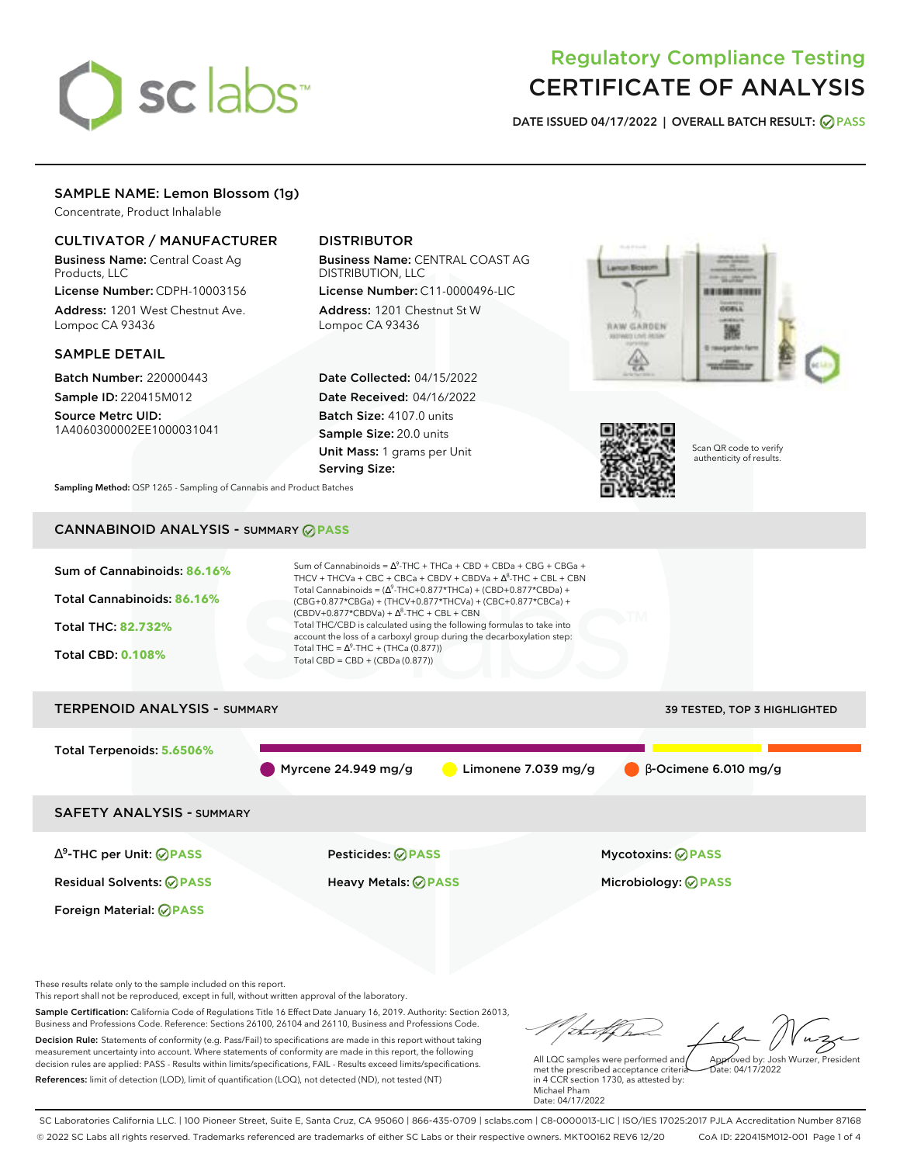

# Regulatory Compliance Testing CERTIFICATE OF ANALYSIS

**DATE ISSUED 04/17/2022 | OVERALL BATCH RESULT: PASS**

## SAMPLE NAME: Lemon Blossom (1g)

Concentrate, Product Inhalable

## CULTIVATOR / MANUFACTURER

Business Name: Central Coast Ag Products, LLC

License Number: CDPH-10003156 Address: 1201 West Chestnut Ave. Lompoc CA 93436

#### SAMPLE DETAIL

Batch Number: 220000443 Sample ID: 220415M012

Source Metrc UID: 1A4060300002EE1000031041

## DISTRIBUTOR

Business Name: CENTRAL COAST AG DISTRIBUTION, LLC

License Number: C11-0000496-LIC Address: 1201 Chestnut St W Lompoc CA 93436

Date Collected: 04/15/2022 Date Received: 04/16/2022 Batch Size: 4107.0 units Sample Size: 20.0 units Unit Mass: 1 grams per Unit Serving Size:





Scan QR code to verify authenticity of results.

**Sampling Method:** QSP 1265 - Sampling of Cannabis and Product Batches

## CANNABINOID ANALYSIS - SUMMARY **PASS**



Sample Certification: California Code of Regulations Title 16 Effect Date January 16, 2019. Authority: Section 26013, Business and Professions Code. Reference: Sections 26100, 26104 and 26110, Business and Professions Code. Decision Rule: Statements of conformity (e.g. Pass/Fail) to specifications are made in this report without taking measurement uncertainty into account. Where statements of conformity are made in this report, the following decision rules are applied: PASS - Results within limits/specifications, FAIL - Results exceed limits/specifications.

References: limit of detection (LOD), limit of quantification (LOQ), not detected (ND), not tested (NT)

tal f h All LQC samples were performed and Approved by: Josh Wurzer, President Date: 04/17/2022

met the prescribed acceptance criteria in 4 CCR section 1730, as attested by: Michael Pham Date: 04/17/2022

SC Laboratories California LLC. | 100 Pioneer Street, Suite E, Santa Cruz, CA 95060 | 866-435-0709 | sclabs.com | C8-0000013-LIC | ISO/IES 17025:2017 PJLA Accreditation Number 87168 © 2022 SC Labs all rights reserved. Trademarks referenced are trademarks of either SC Labs or their respective owners. MKT00162 REV6 12/20 CoA ID: 220415M012-001 Page 1 of 4